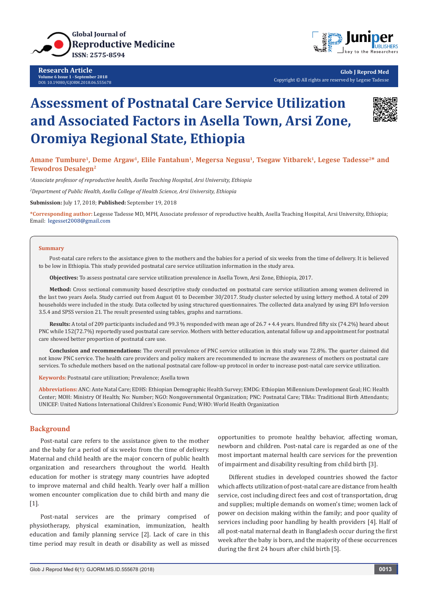

**Research Article Volume 6 Issue 1 - September 2018** DOI: [10.19080/GJORM.2018.06.555678](http://dx.doi.org/10.19080/GJORM.2018.06.555678)



**Glob J Reprod Med** Copyright © All rights are reserved by Legese Tadesse

# **Assessment of Postnatal Care Service Utilization and Associated Factors in Asella Town, Arsi Zone, Oromiya Regional State, Ethiopia**



Amane Tumbure<sup>1</sup>, Deme Argaw<sup>1</sup>, Elile Fantahun<sup>1</sup>, Megersa Negusu<sup>1</sup>, Tsegaw Yitbarek<sup>1</sup>, Legese Tadesse<sup>2\*</sup> and **Tewodros Desalegn2**

*1 Associate professor of reproductive health, Asella Teaching Hospital, Arsi University, Ethiopia*

*2 Department of Public Health, Asella College of Health Science, Arsi University, Ethiopia*

**Submission:** July 17, 2018; **Published:** September 19, 2018

**\*Corresponding author:** Legesse Tadesse MD, MPH, Associate professor of reproductive health, Asella Teaching Hospital, Arsi University, Ethiopia; Email: legesset2008@gmail.com

#### **Summary**

Post-natal care refers to the assistance given to the mothers and the babies for a period of six weeks from the time of delivery. It is believed to be low in Ethiopia. This study provided postnatal care service utilization information in the study area.

**Objectives:** To assess postnatal care service utilization prevalence in Asella Town, Arsi Zone, Ethiopia, 2017.

**Method:** Cross sectional community based descriptive study conducted on postnatal care service utilization among women delivered in the last two years Asela. Study carried out from August 01 to December 30/2017. Study cluster selected by using lottery method. A total of 209 households were included in the study. Data collected by using structured questionnaires. The collected data analyzed by using EPI Info version 3.5.4 and SPSS version 21. The result presented using tables, graphs and narrations.

**Results:** A total of 209 participants included and 99.3 % responded with mean age of 26.7 + 4.4 years. Hundred fifty six (74.2%) heard about PNC while 152(72.7%) reportedly used postnatal care service. Mothers with better education, antenatal follow up and appointment for postnatal care showed better proportion of postnatal care use.

**Conclusion and recommendations:** The overall prevalence of PNC service utilization in this study was 72.8%. The quarter claimed did not know PNC service. The health care providers and policy makers are recommended to increase the awareness of mothers on postnatal care services. To schedule mothers based on the national postnatal care follow-up protocol in order to increase post-natal care service utilization.

**Keywords:** Postnatal care utilization; Prevalence; Asella town

**Abbreviations:** ANC: Ante Natal Care; EDHS: Ethiopian Demographic Health Survey; EMDG: Ethiopian Millennium Development Goal; HC: Health Center; MOH: Ministry Of Health; No: Number; NGO: Nongovernmental Organization; PNC: Postnatal Care; TBAs: Traditional Birth Attendants; UNICEF: United Nations International Children's Economic Fund; WHO: World Health Organization

# **Background**

Post-natal care refers to the assistance given to the mother and the baby for a period of six weeks from the time of delivery. Maternal and child health are the major concern of public health organization and researchers throughout the world. Health education for mother is strategy many countries have adopted to improve maternal and child health. Yearly over half a million women encounter complication due to child birth and many die [1].

Post-natal services are the primary comprised of physiotherapy, physical examination, immunization, health education and family planning service [2]. Lack of care in this time period may result in death or disability as well as missed

opportunities to promote healthy behavior, affecting woman, newborn and children. Post-natal care is regarded as one of the most important maternal health care services for the prevention of impairment and disability resulting from child birth [3].

Different studies in developed countries showed the factor which affects utilization of post-natal care are distance from health service, cost including direct fees and cost of transportation, drug and supplies; multiple demands on women's time; women lack of power on decision making within the family; and poor quality of services including poor handling by health providers [4]. Half of all post-natal maternal death in Bangladesh occur during the first week after the baby is born, and the majority of these occurrences during the first 24 hours after child birth [5].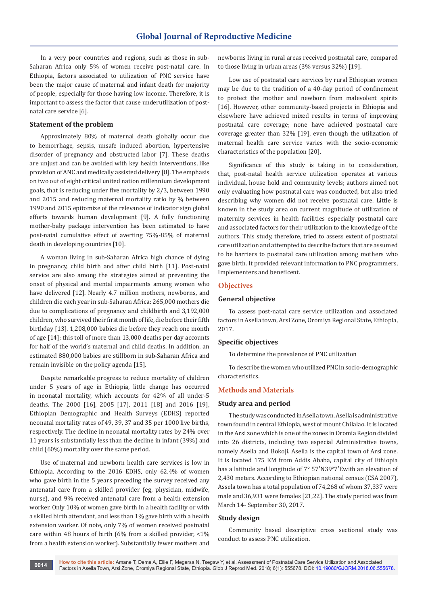In a very poor countries and regions, such as those in sub-Saharan Africa only 5% of women receive post-natal care. In Ethiopia, factors associated to utilization of PNC service have been the major cause of maternal and infant death for majority of people, especially for those having low income. Therefore, it is important to assess the factor that cause underutilization of postnatal care service [6].

# **Statement of the problem**

Approximately 80% of maternal death globally occur due to hemorrhage, sepsis, unsafe induced abortion, hypertensive disorder of pregnancy and obstructed labor [7]. These deaths are unjust and can be avoided with key health interventions, like provision of ANC and medically assisted delivery [8]. The emphasis on two out of eight critical united nation millennium development goals, that is reducing under five mortality by 2/3, between 1990 and 2015 and reducing maternal mortality ratio by ¾ between 1990 and 2015 epitomize of the relevance of indicator sign global efforts towards human development [9]. A fully functioning mother-baby package intervention has been estimated to have post-natal cumulative effect of averting 75%-85% of maternal death in developing countries [10].

A woman living in sub-Saharan Africa high chance of dying in pregnancy, child birth and after child birth [11]. Post-natal service are also among the strategies aimed at preventing the onset of physical and mental impairments among women who have delivered [12]. Nearly 4.7 million mothers, newborns, and children die each year in sub-Saharan Africa: 265,000 mothers die due to complications of pregnancy and childbirth and 3,192,000 children, who survived their first month of life, die before their fifth birthday [13]. 1,208,000 babies die before they reach one month of age [14]; this toll of more than 13,000 deaths per day accounts for half of the world's maternal and child deaths. In addition, an estimated 880,000 babies are stillborn in sub-Saharan Africa and remain invisible on the policy agenda [15].

Despite remarkable progress to reduce mortality of children under 5 years of age in Ethiopia, little change has occurred in neonatal mortality, which accounts for 42% of all under-5 deaths. The 2000 [16], 2005 [17], 2011 [18] and 2016 [19], Ethiopian Demographic and Health Surveys (EDHS) reported neonatal mortality rates of 49, 39, 37 and 35 per 1000 live births, respectively. The decline in neonatal mortality rates by 24% over 11 years is substantially less than the decline in infant (39%) and child (60%) mortality over the same period.

Use of maternal and newborn health care services is low in Ethiopia. According to the 2016 EDHS, only 62.4% of women who gave birth in the 5 years preceding the survey received any antenatal care from a skilled provider (eg, physician, midwife, nurse), and 9% received antenatal care from a health extension worker. Only 10% of women gave birth in a health facility or with a skilled birth attendant, and less than 1% gave birth with a health extension worker. Of note, only 7% of women received postnatal care within 48 hours of birth (6% from a skilled provider, <1% from a health extension worker). Substantially fewer mothers and

newborns living in rural areas received postnatal care, compared to those living in urban areas (3% versus 32%) [19].

Low use of postnatal care services by rural Ethiopian women may be due to the tradition of a 40-day period of confinement to protect the mother and newborn from malevolent spirits [16]. However, other community-based projects in Ethiopia and elsewhere have achieved mixed results in terms of improving postnatal care coverage; none have achieved postnatal care coverage greater than 32% [19], even though the utilization of maternal health care service varies with the socio-economic characteristics of the population [20].

Significance of this study is taking in to consideration, that, post-natal health service utilization operates at various individual, house hold and community levels; authors aimed not only evaluating how postnatal care was conducted, but also tried describing why women did not receive postnatal care. Little is known in the study area on current magnitude of utilization of maternity services in health facilities especially postnatal care and associated factors for their utilization to the knowledge of the authors. This study, therefore, tried to assess extent of postnatal care utilization and attempted to describe factors that are assumed to be barriers to postnatal care utilization among mothers who gave birth. It provided relevant information to PNC programmers, Implementers and beneficent.

### **Objectives**

#### **General objective**

To assess post-natal care service utilization and associated factors in Asella town, Arsi Zone, Oromiya Regional State, Ethiopia, 2017.

#### **Specific objectives**

To determine the prevalence of PNC utilization

To describe the women who utilized PNC in socio-demographic characteristics.

# **Methods and Materials**

#### **Study area and period**

The study was conducted in Asella town. Asella is administrative town found in central Ethiopia, west of mount Chilalao. It is located in the Arsi zone which is one of the zones in Oromia Region divided into 26 districts, including two especial Administrative towns, namely Asella and Bokoji. Asella is the capital town of Arsi zone. It is located 175 KM from Addis Ababa, capital city of Ethiopia has a latitude and longitude of 7° 57′N39°7′Ewith an elevation of 2,430 meters. According to Ethiopian national census (CSA 2007), Assela town has a total population of 74,268 of whom 37,337 were male and 36,931 were females [21,22]. The study period was from March 14- September 30, 2017.

# **Study design**

Community based descriptive cross sectional study was conduct to assess PNC utilization.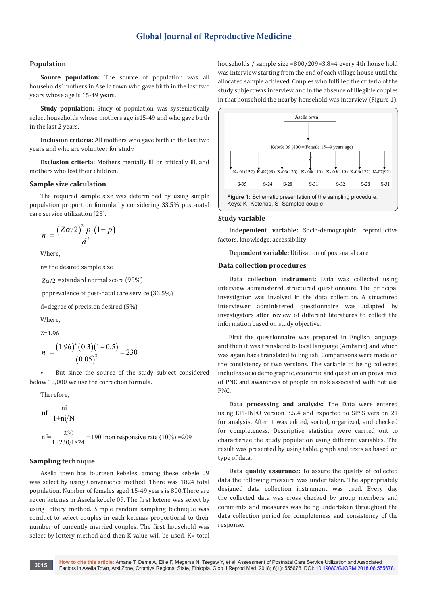# **Population**

**Source population:** The source of population was all households' mothers in Asella town who gave birth in the last two years whose age is 15-49 years.

**Study population:** Study of population was systematically select households whose mothers age is15-49 and who gave birth in the last 2 years.

**Inclusion criteria:** All mothers who gave birth in the last two years and who are volunteer for study.

**Exclusion criteria:** Mothers mentally ill or critically ill, and mothers who lost their children.

## **Sample size calculation**

The required sample size was determined by using simple population proportion formula by considering 33.5% post-natal care service utilization [23].

$$
n = \frac{\left(Z\alpha/2\right)^2 p \left(1-p\right)}{d^2}
$$

Where,

n= the desired sample size

 $Z\alpha/2$  =standard normal score (95%)

p=prevalence of post-natal care service (33.5%)

d=degree of precision desired (5%)

Where,

Z=1.96

$$
n = \frac{(1.96)^2 (0.3)(1 - 0.5)}{(0.05)^2} = 230
$$

But since the source of the study subject considered below 10,000 we use the correction formula.

Therefore,

nf=
$$
\frac{ni}{1 + ni/N}
$$
  
nf= $\frac{230}{1 + 230/1824}$  = 190+non responsive rate (10%) = 209

#### **Sampling technique**

Asella town has fourteen kebeles, among these kebele 09 was select by using Convenience method. There was 1824 total population. Number of females aged 15-49 years is 800.There are seven ketenas in Assela kebele 09. The first ketene was select by using lottery method. Simple random sampling technique was conduct to select couples in each ketenas proportional to their number of currently married couples. The first household was select by lottery method and then K value will be used. K= total

households / sample size =800/209=3.8=4 every 4th house hold was interview starting from the end of each village house until the allocated sample achieved. Couples who fulfilled the criteria of the study subject was interview and in the absence of illegible couples in that household the nearby household was interview (Figure 1).



#### **Study variable**

**Independent variable:** Socio-demographic, reproductive factors, knowledge, accessibility

**Dependent variable:** Utilization of post-natal care

#### **Data collection procedures**

**Data collection instrument:** Data was collected using interview administered structured questionnaire. The principal investigator was involved in the data collection. A structured interviewer administered questionnaire was adapted by investigators after review of different literatures to collect the information based on study objective.

First the questionnaire was prepared in English language and then it was translated to local language (Amharic) and which was again back translated to English. Comparisons were made on the consistency of two versions. The variable to being collected includes socio demographic, economic and question on prevalence of PNC and awareness of people on risk associated with not use PNC.

**Data processing and analysis:** The Data were entered using EPI-INFO version 3.5.4 and exported to SPSS version 21 for analysis. After it was edited, sorted, organized, and checked for completeness. Descriptive statistics were carried out to characterize the study population using different variables. The result was presented by using table, graph and texts as based on type of data.

**Data quality assurance:** To assure the quality of collected data the following measure was under taken. The appropriately designed data collection instrument was used. Every day the collected data was cross checked by group members and comments and measures was being undertaken throughout the data collection period for completeness and consistency of the response.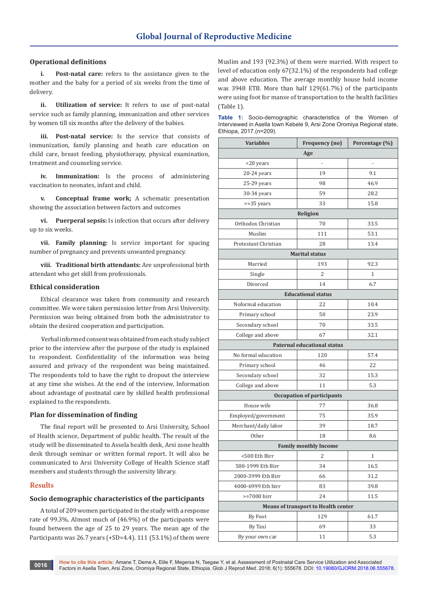# **Operational definitions**

**i. Post-natal care:** refers to the assistance given to the mother and the baby for a period of six weeks from the time of delivery.

**ii. Utilization of service:** It refers to use of post-natal service such as family planning, immunization and other services by women till six months after the delivery of the babies.

**iii. Post-natal service:** Is the service that consists of immunization, family planning and heath care education on child care, breast feeding, physiotherapy, physical examination, treatment and counseling service.

**iv. Immunization:** Is the process of administering vaccination to neonates, infant and child.

**v. Conceptual frame work;** A schematic presentation showing the association between factors and outcomes

**vi. Puerperal sepsis:** Is infection that occurs after delivery up to six weeks.

**vii. Family planning:** Is service important for spacing number of pregnancy and prevents unwanted pregnancy.

**viii. Traditional birth attendants:** Are unprofessional birth attendant who get skill from professionals.

# **Ethical consideration**

Ethical clearance was taken from community and research committee. We were taken permission letter from Arsi University. Permission was being obtained from both the administrator to obtain the desired cooperation and participation.

 Verbal informed consent was obtained from each study subject prior to the interview after the purpose of the study is explained to respondent. Confidentiality of the information was being assured and privacy of the respondent was being maintained. The respondents told to have the right to dropout the interview at any time she wishes. At the end of the interview, Information about advantage of postnatal care by skilled health professional explained to the respondents.

# **Plan for dissemination of finding**

The final report will be presented to Arsi University, School of Health science, Department of public health. The result of the study will be disseminated to Assela health desk, Arsi zone health desk through seminar or written formal report. It will also be communicated to Arsi University College of Health Science staff members and students through the university library.

#### **Results**

# **Socio demographic characteristics of the participants**

A total of 209 women participated in the study with a response rate of 99.3%. Almost much of (46.9%) of the participants were found between the age of 25 to 29 years. The mean age of the Participants was 26.7 years (+SD=4.4). 111 (53.1%) of them were Muslim and 193 (92.3%) of them were married. With respect to level of education only 67(32.1%) of the respondents had college and above education. The average monthly house hold income was 3948 ETB. More than half 129(61.7%) of the participants were using foot for manse of transportation to the health facilities (Table 1).

|  | <b>Table 1:</b> Socio-demographic characteristics of the Women of      |  |  |  |
|--|------------------------------------------------------------------------|--|--|--|
|  | Interviewed in Asella town Kebele 9, Arsi Zone Oromiya Regional state, |  |  |  |
|  | Ethiopa, 2017.(n=209).                                                 |  |  |  |

| <b>Variables</b>                           | Frequency (no)                     | Percentage (%) |  |  |  |  |  |
|--------------------------------------------|------------------------------------|----------------|--|--|--|--|--|
| Age                                        |                                    |                |  |  |  |  |  |
| <20 years                                  | $\qquad \qquad \blacksquare$       | ÷,             |  |  |  |  |  |
| 20-24 years                                | 19                                 | 9.1            |  |  |  |  |  |
| 25-29 years                                | 98                                 | 46.9           |  |  |  |  |  |
| 30-34 years                                | 59                                 | 28.2           |  |  |  |  |  |
| $>=35$ years                               | 33                                 | 15.8           |  |  |  |  |  |
| Religion                                   |                                    |                |  |  |  |  |  |
| Orthodox Christian                         | 70                                 | 33.5           |  |  |  |  |  |
| Muslim                                     | 111                                | 53.1           |  |  |  |  |  |
| Protestant Christian                       | 28                                 | 13.4           |  |  |  |  |  |
| <b>Marital status</b>                      |                                    |                |  |  |  |  |  |
| Married                                    | 193                                | 92.3           |  |  |  |  |  |
| Single                                     | $\overline{2}$                     | 1              |  |  |  |  |  |
| Divorced                                   | 14                                 | 6.7            |  |  |  |  |  |
|                                            | <b>Educational status</b>          |                |  |  |  |  |  |
| Noformal education                         | 22                                 | 10.4           |  |  |  |  |  |
| Primary school                             | 50                                 | 23.9           |  |  |  |  |  |
| Secondary school                           | 70                                 | 33.5           |  |  |  |  |  |
| College and above                          | 67                                 | 32.1           |  |  |  |  |  |
|                                            | <b>Paternal educational status</b> |                |  |  |  |  |  |
| No formal education                        | 120                                | 57.4           |  |  |  |  |  |
| Primary school                             | 46                                 | 22             |  |  |  |  |  |
| Secondary school                           | 32                                 | 15.3           |  |  |  |  |  |
| College and above                          | 11                                 | 5.3            |  |  |  |  |  |
|                                            | <b>Occupation of participants</b>  |                |  |  |  |  |  |
| House wife                                 | 77                                 | 36.8           |  |  |  |  |  |
| Employed/government                        | 75                                 | 35.9           |  |  |  |  |  |
| Merchant/daily labor                       | 39                                 | 18.7           |  |  |  |  |  |
| Other                                      | 18                                 | 8.6            |  |  |  |  |  |
| <b>Family monthly Income</b>               |                                    |                |  |  |  |  |  |
| <500 Eth Birr                              | 2                                  | 1              |  |  |  |  |  |
| 500-1999 Eth Birr                          | 34                                 | 16.5           |  |  |  |  |  |
| 2000-3999 Eth Birr                         | 66                                 | 31.2           |  |  |  |  |  |
| 4000-6999 Eth birr                         | 83                                 | 39.8           |  |  |  |  |  |
| >=7000 birr                                | 24                                 | 11.5           |  |  |  |  |  |
| <b>Means of transport to Health center</b> |                                    |                |  |  |  |  |  |
| By Foot                                    | 129                                | 61.7           |  |  |  |  |  |
| By Taxi                                    | 69                                 | 33             |  |  |  |  |  |
| By your own car                            | 11                                 | 5.3            |  |  |  |  |  |

**How to cite this article:** Amane T, Deme A, Elile F, Megersa N, Tsegaw Y, et al. Assessment of Postnatal Care Service Utilization and Associated Factors in Asella Town, Arsi Zone, Oromiya Regional State, Ethiopia. Glob J Reprod Med. 2018; 6(1): 555678. DOI: [10.19080/GJORM.2018.06.555678.](http://dx.doi.org/10.19080/GJORM.2018.06.555678) **<sup>0016</sup>**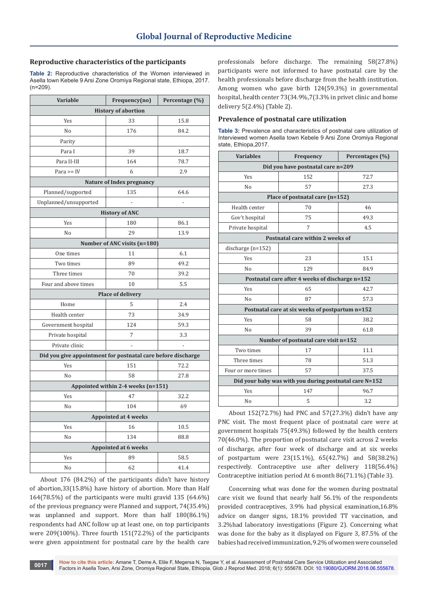# **Reproductive characteristics of the participants**

**Table 2:** Reproductive characteristics of the Women interviewed in Asella town Kebele 9 Arsi Zone Oromiya Regional state, Ethiopa, 2017. (n=209).

| Variable                                                     | Frequency(no)                | Percentage (%) |  |  |  |  |  |  |
|--------------------------------------------------------------|------------------------------|----------------|--|--|--|--|--|--|
| <b>History of abortion</b>                                   |                              |                |  |  |  |  |  |  |
| Yes                                                          | 33                           | 15.8           |  |  |  |  |  |  |
| No                                                           | 176                          | 84.2           |  |  |  |  |  |  |
| Parity                                                       |                              |                |  |  |  |  |  |  |
| Para I                                                       | 39                           | 18.7           |  |  |  |  |  |  |
| Para II-III                                                  | 164                          | 78.7           |  |  |  |  |  |  |
| Para $>=$ IV                                                 | 6                            | 2.9            |  |  |  |  |  |  |
| Nature of Index pregnancy                                    |                              |                |  |  |  |  |  |  |
| Planned/supported                                            | 135                          | 64.6           |  |  |  |  |  |  |
| Unplanned/unsupported                                        |                              |                |  |  |  |  |  |  |
| <b>History of ANC</b>                                        |                              |                |  |  |  |  |  |  |
| Yes                                                          | 180                          | 86.1           |  |  |  |  |  |  |
| No                                                           | 29                           | 13.9           |  |  |  |  |  |  |
|                                                              | Number of ANC visits (n=180) |                |  |  |  |  |  |  |
| One times                                                    | 11                           | 6.1            |  |  |  |  |  |  |
| Two times                                                    | 89                           | 49.2           |  |  |  |  |  |  |
| Three times                                                  | 70                           | 39.2           |  |  |  |  |  |  |
| Four and above times                                         | 10                           | 5.5            |  |  |  |  |  |  |
|                                                              | <b>Place of delivery</b>     |                |  |  |  |  |  |  |
| Home                                                         | 5                            | 2.4            |  |  |  |  |  |  |
| Health center                                                | 73                           | 34.9           |  |  |  |  |  |  |
| Government hospital                                          | 124                          | 59.3           |  |  |  |  |  |  |
| Private hospital                                             | 7                            | 3.3            |  |  |  |  |  |  |
| Private clinic                                               |                              | $\overline{a}$ |  |  |  |  |  |  |
| Did you give appointment for postnatal care before discharge |                              |                |  |  |  |  |  |  |
| Yes                                                          | 151                          | 72.2           |  |  |  |  |  |  |
| No                                                           | 58                           | 27.8           |  |  |  |  |  |  |
| Appointed within 2-4 weeks (n=151)                           |                              |                |  |  |  |  |  |  |
| Yes                                                          | 47                           | 32.2           |  |  |  |  |  |  |
| No                                                           | 104                          | 69             |  |  |  |  |  |  |
| <b>Appointed at 4 weeks</b>                                  |                              |                |  |  |  |  |  |  |
| Yes                                                          | 16                           | 10.5           |  |  |  |  |  |  |
| No                                                           | 134                          | 88.8           |  |  |  |  |  |  |
| <b>Appointed at 6 weeks</b>                                  |                              |                |  |  |  |  |  |  |
| Yes                                                          | 89                           | 58.5           |  |  |  |  |  |  |
| No                                                           | 62                           | 41.4           |  |  |  |  |  |  |

About 176 (84.2%) of the participants didn't have history of abortion,33(15.8%) have history of abortion. More than Half 164(78.5%) of the participants were multi gravid 135 (64.6%) of the previous pregnancy were Planned and support, 74(35.4%) was unplanned and support. More than half 180(86.1%) respondents had ANC follow up at least one, on top participants were 209(100%). Three fourth 151(72.2%) of the participants were given appointment for postnatal care by the health care

professionals before discharge. The remaining 58(27.8%) participants were not informed to have postnatal care by the health professionals before discharge from the health institution. Among women who gave birth 124(59.3%) in governmental hospital, health center 73(34.9%,7(3.3% in privet clinic and home delivery 5(2.4%) (Table 2).

# **Prevalence of postnatal care utilization**

**Table 3:** Prevalence and characteristics of postnatal care utilization of Interviewed women Asella town Kebele 9 Arsi Zone Oromiya Regional state, Ethiopa,2017.

| <b>Variables</b>                                       | Frequency                                       | Percentages (%) |  |  |  |  |  |  |
|--------------------------------------------------------|-------------------------------------------------|-----------------|--|--|--|--|--|--|
| Did you have postnatal care n=209                      |                                                 |                 |  |  |  |  |  |  |
| <b>Yes</b>                                             | 152                                             | 72.7            |  |  |  |  |  |  |
| No                                                     | 57                                              | 27.3            |  |  |  |  |  |  |
| Place of postnatal care (n=152)                        |                                                 |                 |  |  |  |  |  |  |
| Health center                                          | 70                                              | 46              |  |  |  |  |  |  |
| Gov't hospital                                         | 75                                              | 49.3            |  |  |  |  |  |  |
| Private hospital                                       | $\overline{7}$                                  | 4.5             |  |  |  |  |  |  |
| Postnatal care within 2 weeks of                       |                                                 |                 |  |  |  |  |  |  |
| discharge (n=152)                                      |                                                 |                 |  |  |  |  |  |  |
| Yes                                                    | 23                                              | 15.1            |  |  |  |  |  |  |
| No                                                     | 129                                             | 84.9            |  |  |  |  |  |  |
| Postnatal care after 4 weeks of discharge n=152        |                                                 |                 |  |  |  |  |  |  |
| Yes                                                    | 65                                              | 42.7            |  |  |  |  |  |  |
| N <sub>0</sub>                                         | 87                                              | 57.3            |  |  |  |  |  |  |
|                                                        | Postnatal care at six weeks of postpartum n=152 |                 |  |  |  |  |  |  |
| <b>Yes</b>                                             | 58                                              | 38.2            |  |  |  |  |  |  |
| N <sub>0</sub>                                         | 39                                              | 61.8            |  |  |  |  |  |  |
| Number of postnatal care visit n=152                   |                                                 |                 |  |  |  |  |  |  |
| Two times                                              | 17                                              | 11.1            |  |  |  |  |  |  |
| Three times                                            | 78                                              | 51.3            |  |  |  |  |  |  |
| Four or more times                                     | 57                                              | 37.5            |  |  |  |  |  |  |
| Did your baby was with you during postnatal care N=152 |                                                 |                 |  |  |  |  |  |  |
| Yes                                                    | 147                                             | 96.7            |  |  |  |  |  |  |
| No                                                     | 5                                               | 3.2             |  |  |  |  |  |  |

About 152(72.7%) had PNC and 57(27.3%) didn't have any PNC visit. The most frequent place of postnatal care were at government hospitals 75(49.3%) followed by the health centers 70(46.0%). The proportion of postnatal care visit across 2 weeks of discharge, after four week of discharge and at six weeks of postpartum were 23(15.1%), 65(42.7%) and 58(38.2%) respectively. Contraceptive use after delivery 118(56.4%) Contraceptive initiation period At 6 month 86(71.1%) (Table 3).

Concerning what was done for the women during postnatal care visit we found that nearly half 56.1% of the respondents provided contraceptives, 3.9% had physical examination,16.8% advice on danger signs, 18.1% provided TT vaccination, and 3.2%had laboratory investigations (Figure 2). Concerning what was done for the baby as it displayed on Figure 3, 87.5% of the babies had received immunization, 9.2% of women were counseled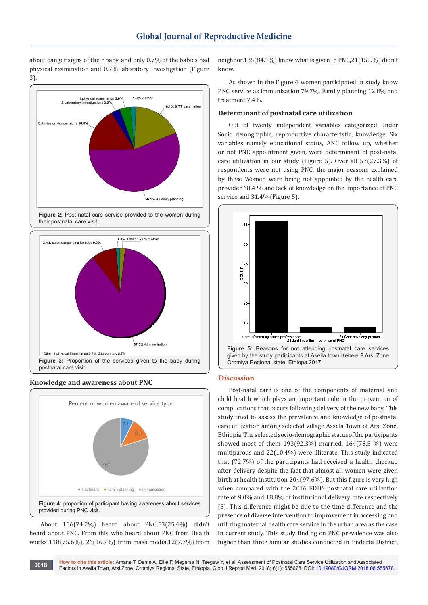about danger signs of their baby, and only 0.7% of the babies had physical examination and 0.7% laboratory investigation (Figure 3).











About 156(74.2%) heard about PNC,53(25.4%) didn't heard about PNC. From this who heard about PNC from Health works 118(75.6%), 26(16.7%) from mass media,12(7.7%) from

neighbor.135(84.1%) know what is given in PNC,21(15.9%) didn't know.

As shown in the Figure 4 women participated in study know PNC service as immunization 79.7%, Family planning 12.8% and treatment 7.4%.

# **Determinant of postnatal care utilization**

Out of twenty independent variables categorized under Socio demographic, reproductive characteristic, knowledge, Six variables namely educational status, ANC follow up, whether or not PNC appointment given, were determinant of post-natal care utilization in our study (Figure 5). Over all 57(27.3%) of respondents were not using PNC, the major reasons explained by these Women were being not appointed by the health care provider 68.4 % and lack of knowledge on the importance of PNC service and 31.4% (Figure 5).



# **Discussion**

Post-natal care is one of the components of maternal and child health which plays an important role in the prevention of complications that occurs following delivery of the new baby. This study tried to assess the prevalence and knowledge of postnatal care utilization among selected village Assela Town of Arsi Zone, Ethiopia. The selected socio-demographic status of the participants showed most of them 193(92.3%) married, 164(78.5 %) were multiparous and 22(10.4%) were illiterate. This study indicated that (72.7%) of the participants had received a health checkup after delivery despite the fact that almost all women were given birth at health institution 204(97.6%). But this figure is very high when compared with the 2016 EDHS postnatal care utilization rate of 9.0% and 18.8% of institutional delivery rate respectively [5]. This difference might be due to the time difference and the presence of diverse intervention to improvement in accessing and utilizing maternal health care service in the urban area as the case in current study. This study finding on PNC prevalence was also higher than three similar studies conducted in Enderta District,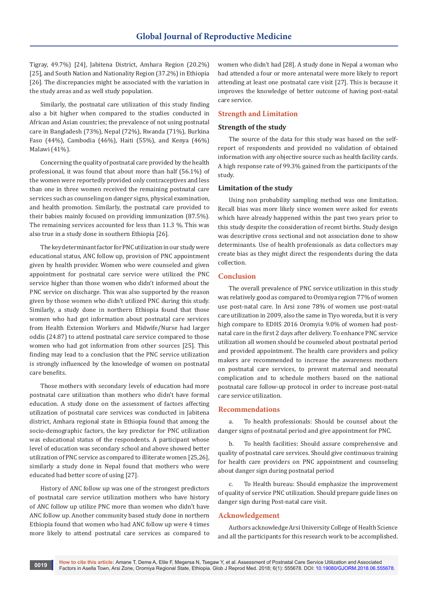Tigray, 49.7%) [24], Jabitena District, Amhara Region (20.2%) [25], and South Nation and Nationality Region (37.2%) in Ethiopia [26]. The discrepancies might be associated with the variation in the study areas and as well study population.

Similarly, the postnatal care utilization of this study finding also a bit higher when compared to the studies conducted in African and Asian countries; the prevalence of not using postnatal care in Bangladesh (73%), Nepal (72%), Rwanda (71%), Burkina Faso (44%), Cambodia (46%), Haiti (55%), and Kenya (46%) Malawi (41%).

Concerning the quality of postnatal care provided by the health professional, it was found that about more than half (56.1%) of the women were reportedly provided only contraceptives and less than one in three women received the remaining postnatal care services such as counseling on danger signs, physical examination, and health promotion. Similarly, the postnatal care provided to their babies mainly focused on providing immunization (87.5%). The remaining services accounted for less than 11.3 %. This was also true in a study done in southern Ethiopia [26].

The key determinant factor for PNC utilization in our study were educational status, ANC follow up, provision of PNC appointment given by health provider. Women who were counseled and given appointment for postnatal care service were utilized the PNC service higher than those women who didn't informed about the PNC service on discharge. This was also supported by the reason given by those women who didn't utilized PNC during this study. Similarly, a study done in northern Ethiopia found that those women who had got information about postnatal care services from Health Extension Workers and Midwife/Nurse had larger oddis (24.87) to attend postnatal care service compared to those women who had got information from other sources [25]. This finding may lead to a conclusion that the PNC service utilization is strongly influenced by the knowledge of women on postnatal care benefits.

Those mothers with secondary levels of education had more postnatal care utilization than mothers who didn't have formal education. A study done on the assessment of factors affecting utilization of postnatal care services was conducted in Jabitena district, Amhara regional state in Ethiopia found that among the socio-demographic factors, the key predictor for PNC utilization was educational status of the respondents. A participant whose level of education was secondary school and above showed better utilization of PNC service as compared to illiterate women [25,26], similarly a study done in Nepal found that mothers who were educated had better score of using [27].

History of ANC follow up was one of the strongest predictors of postnatal care service utilization mothers who have history of ANC follow up utilize PNC more than women who didn't have ANC follow up. Another community based study done in northern Ethiopia found that women who had ANC follow up were 4 times more likely to attend postnatal care services as compared to

women who didn't had [28]. A study done in Nepal a woman who had attended a four or more antenatal were more likely to report attending at least one postnatal care visit [27]. This is because it improves the knowledge of better outcome of having post-natal care service.

# **Strength and Limitation**

# **Strength of the study**

The source of the data for this study was based on the selfreport of respondents and provided no validation of obtained information with any objective source such as health facility cards. A high response rate of 99.3% gained from the participants of the study.

#### **Limitation of the study**

Using non probability sampling method was one limitation. Recall bias was more likely since women were asked for events which have already happened within the past two years prior to this study despite the consideration of recent births. Study design was descriptive cross sectional and not association done to show determinants. Use of health professionals as data collectors may create bias as they might direct the respondents during the data collection.

### **Conclusion**

The overall prevalence of PNC service utilization in this study was relatively good as compared to Oromiya region 77% of women use post-natal care. In Arsi zone 78% of women use post-natal care utilization in 2009, also the same in Tiyo woreda, but it is very high compare to EDHS 2016 Oromyia 9.0% of women had postnatal care in the first 2 days after delivery. To enhance PNC service utilization all women should be counseled about postnatal period and provided appointment. The health care providers and policy makers are recommended to increase the awareness mothers on postnatal care services, to prevent maternal and neonatal complication and to schedule mothers based on the national postnatal care follow-up protocol in order to increase post-natal care service utilization.

#### **Recommendations**

a. To health professionals: Should be counsel about the danger signs of postnatal period and give appointment for PNC.

b. To health facilities: Should assure comprehensive and quality of postnatal care services. Should give continuous training for health care providers on PNC appointment and counseling about danger sign during postnatal period

To Health bureau: Should emphasize the improvement of quality of service PNC utilization. Should prepare guide lines on danger sign during Post-natal care visit.

## **Acknowledgement**

Authors acknowledge Arsi University College of Health Science and all the participants for this research work to be accomplished.